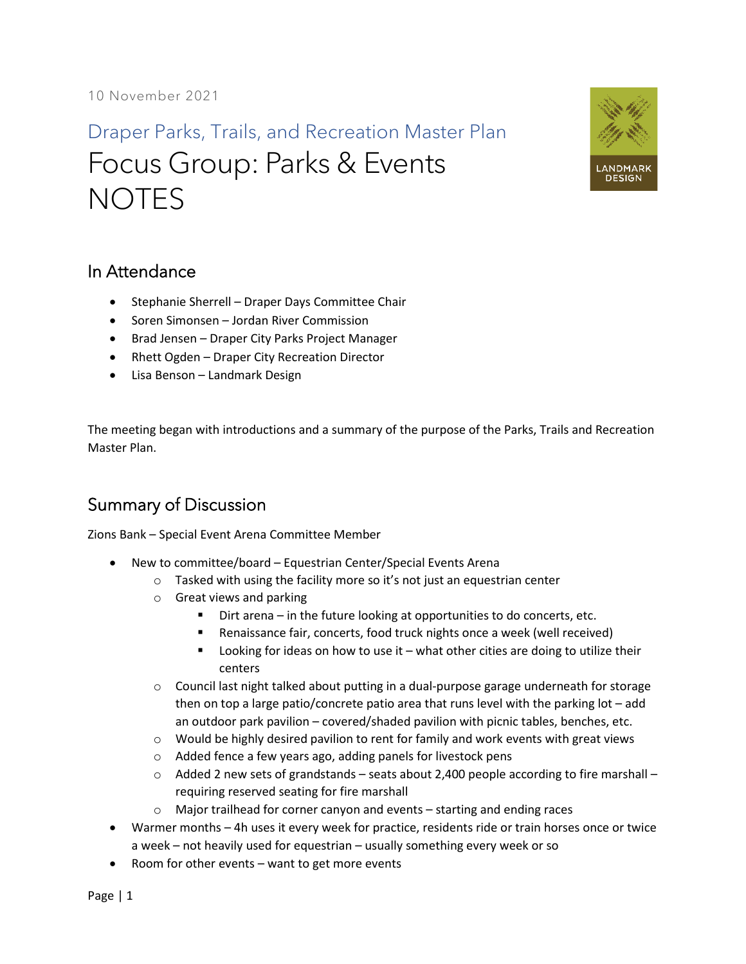Draper Parks, Trails, and Recreation Master Plan Focus Group: Parks & Events **NOTES** 



## In Attendance

- Stephanie Sherrell Draper Days Committee Chair
- Soren Simonsen Jordan River Commission
- Brad Jensen Draper City Parks Project Manager
- Rhett Ogden Draper City Recreation Director
- Lisa Benson Landmark Design

The meeting began with introductions and a summary of the purpose of the Parks, Trails and Recreation Master Plan.

## Summary of Discussion

Zions Bank – Special Event Arena Committee Member

- New to committee/board Equestrian Center/Special Events Arena
	- o Tasked with using the facility more so it's not just an equestrian center
	- o Great views and parking
		- Dirt arena in the future looking at opportunities to do concerts, etc.
		- Renaissance fair, concerts, food truck nights once a week (well received)
		- Looking for ideas on how to use it what other cities are doing to utilize their centers
	- $\circ$  Council last night talked about putting in a dual-purpose garage underneath for storage then on top a large patio/concrete patio area that runs level with the parking lot – add an outdoor park pavilion – covered/shaded pavilion with picnic tables, benches, etc.
	- $\circ$  Would be highly desired pavilion to rent for family and work events with great views
	- o Added fence a few years ago, adding panels for livestock pens
	- $\circ$  Added 2 new sets of grandstands seats about 2,400 people according to fire marshall requiring reserved seating for fire marshall
	- o Major trailhead for corner canyon and events starting and ending races
- Warmer months 4h uses it every week for practice, residents ride or train horses once or twice a week – not heavily used for equestrian – usually something every week or so
- Room for other events want to get more events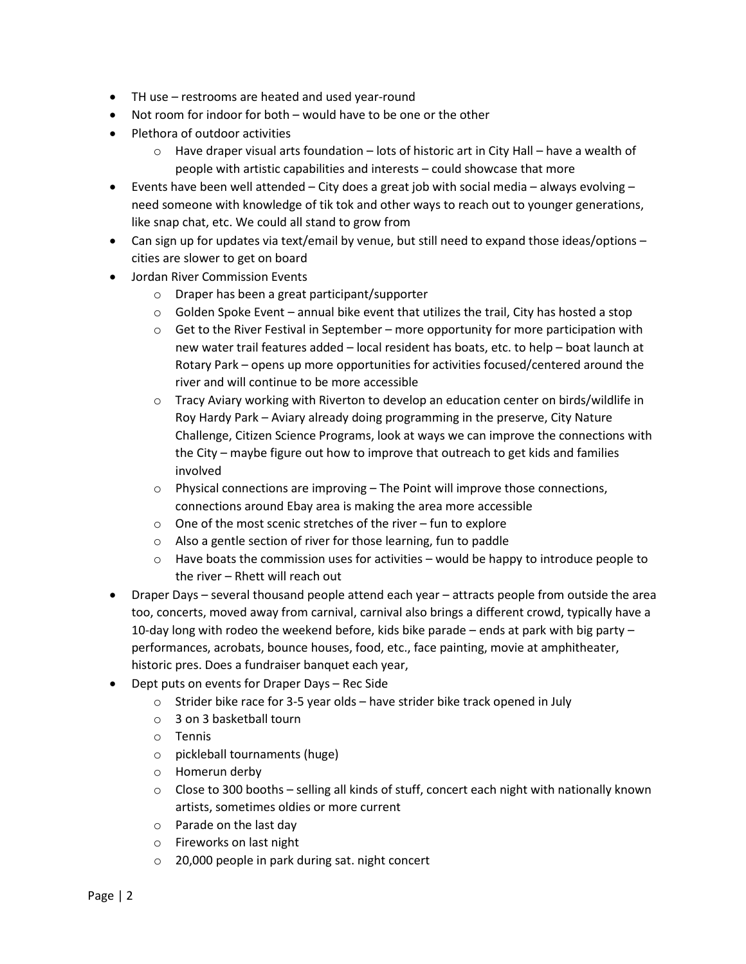- TH use restrooms are heated and used year-round
- Not room for indoor for both would have to be one or the other
- Plethora of outdoor activities
	- $\circ$  Have draper visual arts foundation lots of historic art in City Hall have a wealth of people with artistic capabilities and interests – could showcase that more
- Events have been well attended City does a great job with social media always evolving need someone with knowledge of tik tok and other ways to reach out to younger generations, like snap chat, etc. We could all stand to grow from
- Can sign up for updates via text/email by venue, but still need to expand those ideas/options cities are slower to get on board
- Jordan River Commission Events
	- o Draper has been a great participant/supporter
	- $\circ$  Golden Spoke Event annual bike event that utilizes the trail, City has hosted a stop
	- $\circ$  Get to the River Festival in September more opportunity for more participation with new water trail features added – local resident has boats, etc. to help – boat launch at Rotary Park – opens up more opportunities for activities focused/centered around the river and will continue to be more accessible
	- o Tracy Aviary working with Riverton to develop an education center on birds/wildlife in Roy Hardy Park – Aviary already doing programming in the preserve, City Nature Challenge, Citizen Science Programs, look at ways we can improve the connections with the City – maybe figure out how to improve that outreach to get kids and families involved
	- o Physical connections are improving The Point will improve those connections, connections around Ebay area is making the area more accessible
	- o One of the most scenic stretches of the river fun to explore
	- o Also a gentle section of river for those learning, fun to paddle
	- $\circ$  Have boats the commission uses for activities would be happy to introduce people to the river – Rhett will reach out
- Draper Days several thousand people attend each year attracts people from outside the area too, concerts, moved away from carnival, carnival also brings a different crowd, typically have a 10-day long with rodeo the weekend before, kids bike parade – ends at park with big party – performances, acrobats, bounce houses, food, etc., face painting, movie at amphitheater, historic pres. Does a fundraiser banquet each year,
- Dept puts on events for Draper Days Rec Side
	- $\circ$  Strider bike race for 3-5 year olds have strider bike track opened in July
	- o 3 on 3 basketball tourn
	- o Tennis
	- o pickleball tournaments (huge)
	- o Homerun derby
	- $\circ$  Close to 300 booths selling all kinds of stuff, concert each night with nationally known artists, sometimes oldies or more current
	- o Parade on the last day
	- o Fireworks on last night
	- o 20,000 people in park during sat. night concert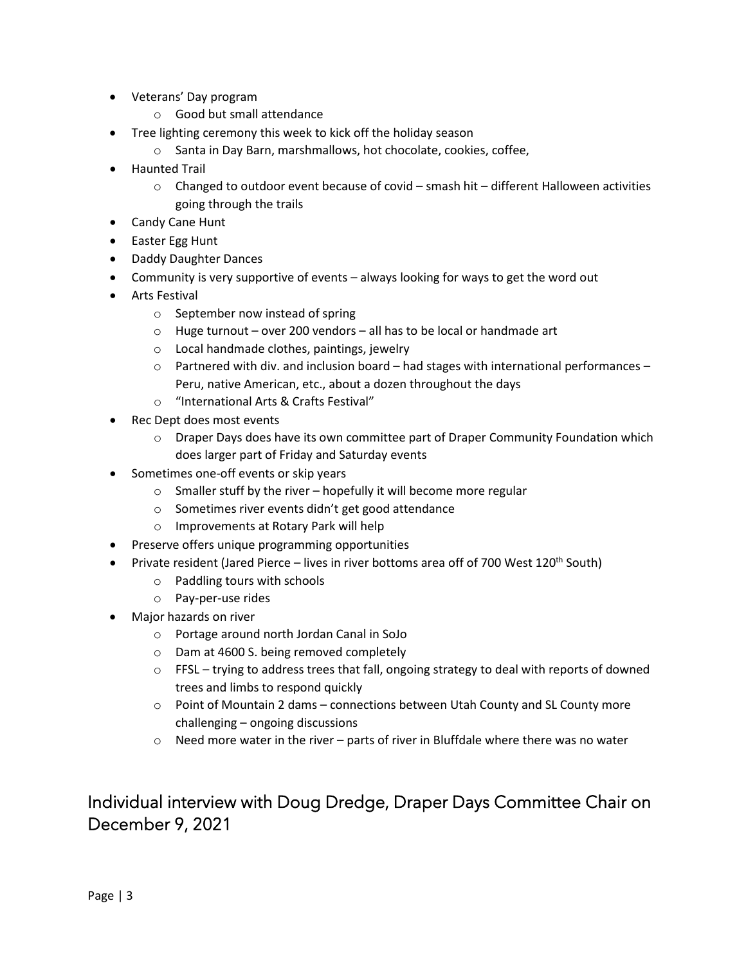- Veterans' Day program
	- o Good but small attendance
- Tree lighting ceremony this week to kick off the holiday season
	- o Santa in Day Barn, marshmallows, hot chocolate, cookies, coffee,
- Haunted Trail
	- $\circ$  Changed to outdoor event because of covid smash hit different Halloween activities going through the trails
- Candy Cane Hunt
- Easter Egg Hunt
- Daddy Daughter Dances
- Community is very supportive of events always looking for ways to get the word out
- Arts Festival
	- o September now instead of spring
	- $\circ$  Huge turnout over 200 vendors all has to be local or handmade art
	- o Local handmade clothes, paintings, jewelry
	- $\circ$  Partnered with div. and inclusion board had stages with international performances Peru, native American, etc., about a dozen throughout the days
	- o "International Arts & Crafts Festival"
- Rec Dept does most events
	- $\circ$  Draper Days does have its own committee part of Draper Community Foundation which does larger part of Friday and Saturday events
- Sometimes one-off events or skip years
	- $\circ$  Smaller stuff by the river hopefully it will become more regular
	- o Sometimes river events didn't get good attendance
	- o Improvements at Rotary Park will help
- Preserve offers unique programming opportunities
- Private resident (Jared Pierce lives in river bottoms area off of 700 West 120<sup>th</sup> South)
	- o Paddling tours with schools
	- o Pay-per-use rides
- Major hazards on river
	- o Portage around north Jordan Canal in SoJo
	- o Dam at 4600 S. being removed completely
	- $\circ$  FFSL trying to address trees that fall, ongoing strategy to deal with reports of downed trees and limbs to respond quickly
	- $\circ$  Point of Mountain 2 dams connections between Utah County and SL County more challenging – ongoing discussions
	- $\circ$  Need more water in the river parts of river in Bluffdale where there was no water

## Individual interview with Doug Dredge, Draper Days Committee Chair on December 9, 2021